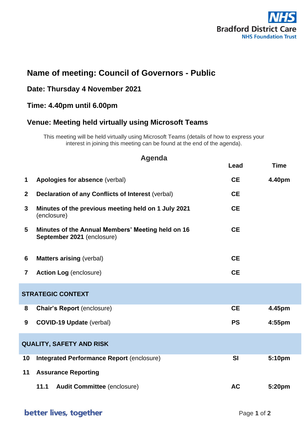

# **Name of meeting: Council of Governors - Public**

#### **Date: Thursday 4 November 2021**

## **Time: 4.40pm until 6.00pm**

### **Venue: Meeting held virtually using Microsoft Teams**

This meeting will be held virtually using Microsoft Teams (details of how to express your interest in joining this meeting can be found at the end of the agenda).

| <b>Agenda</b>                   |                                                                                 |           |             |  |  |  |  |
|---------------------------------|---------------------------------------------------------------------------------|-----------|-------------|--|--|--|--|
|                                 |                                                                                 | Lead      | <b>Time</b> |  |  |  |  |
| $\mathbf 1$                     | Apologies for absence (verbal)                                                  | <b>CE</b> | 4.40pm      |  |  |  |  |
| $\overline{2}$                  | <b>Declaration of any Conflicts of Interest (verbal)</b>                        | <b>CE</b> |             |  |  |  |  |
| 3                               | Minutes of the previous meeting held on 1 July 2021<br>(enclosure)              | <b>CE</b> |             |  |  |  |  |
| 5                               | Minutes of the Annual Members' Meeting held on 16<br>September 2021 (enclosure) | <b>CE</b> |             |  |  |  |  |
| 6                               | <b>Matters arising (verbal)</b>                                                 | <b>CE</b> |             |  |  |  |  |
| $\overline{7}$                  | <b>Action Log (enclosure)</b>                                                   | <b>CE</b> |             |  |  |  |  |
| <b>STRATEGIC CONTEXT</b>        |                                                                                 |           |             |  |  |  |  |
| 8                               | <b>Chair's Report (enclosure)</b>                                               | <b>CE</b> | 4.45pm      |  |  |  |  |
| 9                               | <b>COVID-19 Update (verbal)</b>                                                 | <b>PS</b> | 4:55pm      |  |  |  |  |
| <b>QUALITY, SAFETY AND RISK</b> |                                                                                 |           |             |  |  |  |  |
| 10                              | <b>Integrated Performance Report (enclosure)</b>                                | <b>SI</b> | 5:10pm      |  |  |  |  |
| 11                              | <b>Assurance Reporting</b>                                                      |           |             |  |  |  |  |
|                                 | <b>Audit Committee (enclosure)</b><br>11.1                                      | <b>AC</b> | 5:20pm      |  |  |  |  |

## better lives, together